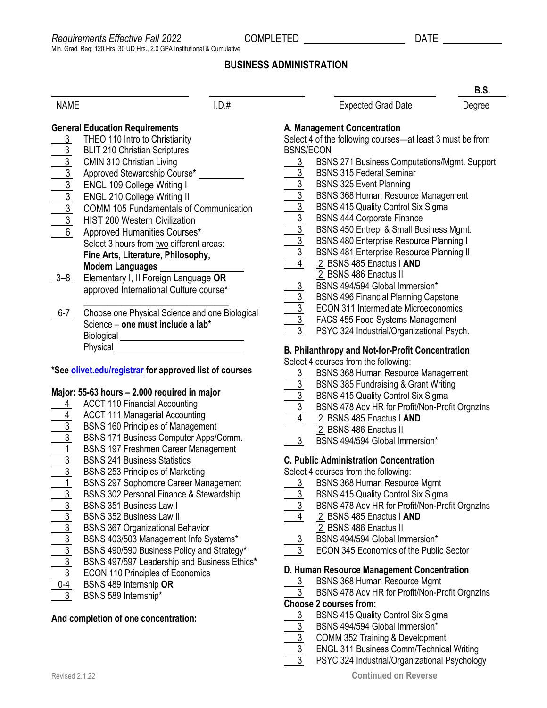**B.S.**

# **BUSINESS ADMINISTRATION**

|                                       |                                                                                                         |       |                                            |                                                                                                              | ט.ט.   |  |
|---------------------------------------|---------------------------------------------------------------------------------------------------------|-------|--------------------------------------------|--------------------------------------------------------------------------------------------------------------|--------|--|
| <b>NAME</b>                           |                                                                                                         | I.D.# |                                            | <b>Expected Grad Date</b>                                                                                    | Degree |  |
| <b>General Education Requirements</b> |                                                                                                         |       | A. Management Concentration                |                                                                                                              |        |  |
|                                       | THEO 110 Intro to Christianity                                                                          |       |                                            | Select 4 of the following courses-at least 3 must be from                                                    |        |  |
| $rac{3}{3}$                           | <b>BLIT 210 Christian Scriptures</b>                                                                    |       | <b>BSNS/ECON</b>                           |                                                                                                              |        |  |
| $\frac{3}{3}$                         | <b>CMIN 310 Christian Living</b>                                                                        |       |                                            | BSNS 271 Business Computations/Mgmt. Support                                                                 |        |  |
|                                       | Approved Stewardship Course*                                                                            |       | $\frac{3}{3}$                              | <b>BSNS 315 Federal Seminar</b>                                                                              |        |  |
|                                       | ENGL 109 College Writing I                                                                              |       |                                            | <b>BSNS 325 Event Planning</b>                                                                               |        |  |
| $\frac{3}{3}$                         | ENGL 210 College Writing II                                                                             |       |                                            | <b>BSNS 368 Human Resource Management</b>                                                                    |        |  |
|                                       | <b>COMM 105 Fundamentals of Communication</b>                                                           |       |                                            | <b>BSNS 415 Quality Control Six Sigma</b>                                                                    |        |  |
|                                       | <b>HIST 200 Western Civilization</b>                                                                    |       |                                            | <b>BSNS 444 Corporate Finance</b>                                                                            |        |  |
| $\overline{6}$                        | Approved Humanities Courses*                                                                            |       |                                            | BSNS 450 Entrep. & Small Business Mgmt.                                                                      |        |  |
|                                       | Select 3 hours from two different areas:                                                                |       |                                            | BSNS 480 Enterprise Resource Planning I                                                                      |        |  |
|                                       | Fine Arts, Literature, Philosophy,                                                                      |       |                                            | <b>BSNS 481 Enterprise Resource Planning II</b>                                                              |        |  |
|                                       | Modern Languages __________                                                                             |       |                                            | 2 BSNS 485 Enactus   AND                                                                                     |        |  |
| $3 - 8$                               | Elementary I, II Foreign Language OR                                                                    |       |                                            | 2 BSNS 486 Enactus II                                                                                        |        |  |
|                                       | approved International Culture course*                                                                  |       | $\frac{3}{2}$                              | BSNS 494/594 Global Immersion*                                                                               |        |  |
|                                       |                                                                                                         |       |                                            | <b>BSNS 496 Financial Planning Capstone</b>                                                                  |        |  |
| $6 - 7$                               | Choose one Physical Science and one Biological                                                          |       |                                            | <b>ECON 311 Intermediate Microeconomics</b>                                                                  |        |  |
|                                       | Science - one must include a lab*                                                                       |       |                                            | FACS 455 Food Systems Management                                                                             |        |  |
|                                       |                                                                                                         |       |                                            | PSYC 324 Industrial/Organizational Psych.                                                                    |        |  |
|                                       | Biological _________________________________                                                            |       |                                            |                                                                                                              |        |  |
|                                       | Physical <u>Contract Communication</u><br>*See <b>olivet.edu/registrar</b> for approved list of courses |       |                                            | <b>B. Philanthropy and Not-for-Profit Concentration</b><br>Select 4 courses from the following:              |        |  |
|                                       |                                                                                                         |       |                                            |                                                                                                              |        |  |
|                                       |                                                                                                         |       | $\mathbf{3}$                               | <b>BSNS 368 Human Resource Management</b>                                                                    |        |  |
|                                       | Major: 55-63 hours - 2.000 required in major                                                            |       |                                            | <b>BSNS 385 Fundraising &amp; Grant Writing</b>                                                              |        |  |
|                                       | <b>ACCT 110 Financial Accounting</b>                                                                    |       |                                            | 3 BSNS 415 Quality Control Six Sigma                                                                         |        |  |
|                                       | <b>ACCT 111 Managerial Accounting</b>                                                                   |       |                                            | BSNS 478 Adv HR for Profit/N<br>4 2 BSNS 485 Enactus I AND<br>BSNS 478 Adv HR for Profit/Non-Profit Orgnztns |        |  |
|                                       | <b>BSNS 160 Principles of Management</b>                                                                |       |                                            |                                                                                                              |        |  |
|                                       | BSNS 171 Business Computer Apps/Comm.                                                                   |       |                                            | 2 BSNS 486 Enactus II                                                                                        |        |  |
|                                       | BSNS 197 Freshmen Career Management                                                                     |       | 3                                          | BSNS 494/594 Global Immersion*                                                                               |        |  |
|                                       | <b>BSNS 241 Business Statistics</b>                                                                     |       |                                            | <b>C. Public Administration Concentration</b>                                                                |        |  |
|                                       | <b>BSNS 253 Principles of Marketing</b>                                                                 |       | Select 4 courses from the following:       |                                                                                                              |        |  |
|                                       | <b>BSNS 297 Sophomore Career Management</b>                                                             |       |                                            | 3 BSNS 368 Human Resource Mgmt                                                                               |        |  |
| $\overline{3}$                        | BSNS 302 Personal Finance & Stewardship                                                                 |       | $\frac{3}{2}$                              | BSNS 415 Quality Control Six Sigma                                                                           |        |  |
| 3                                     | <b>BSNS 351 Business Law I</b>                                                                          |       |                                            | BSNS 478 Adv HR for Profit/Non-Profit Orgnztns                                                               |        |  |
| $\overline{3}$                        | <b>BSNS 352 Business Law II</b>                                                                         |       |                                            | 2 BSNS 485 Enactus   AND                                                                                     |        |  |
|                                       | <b>BSNS 367 Organizational Behavior</b>                                                                 |       |                                            | 2 BSNS 486 Enactus II                                                                                        |        |  |
| $\frac{3}{3}$                         | BSNS 403/503 Management Info Systems*                                                                   |       | <u>3</u>                                   | BSNS 494/594 Global Immersion*                                                                               |        |  |
|                                       | BSNS 490/590 Business Policy and Strategy*                                                              |       | 3                                          | ECON 345 Economics of the Public Sector                                                                      |        |  |
| $\frac{3}{3}$                         |                                                                                                         |       |                                            |                                                                                                              |        |  |
| $\overline{3}$                        | BSNS 497/597 Leadership and Business Ethics*<br>ECON 110 Principles of Economics                        |       | D. Human Resource Management Concentration |                                                                                                              |        |  |
| $0 - 4$                               | BSNS 489 Internship OR                                                                                  |       | 3                                          | <b>BSNS 368 Human Resource Mgmt</b>                                                                          |        |  |
| $\mathbf{3}$                          | BSNS 589 Internship*                                                                                    |       | 3                                          | BSNS 478 Adv HR for Profit/Non-Profit Orgnztns                                                               |        |  |
|                                       |                                                                                                         |       |                                            | <b>Choose 2 courses from:</b>                                                                                |        |  |
|                                       |                                                                                                         |       |                                            |                                                                                                              |        |  |

#### **And completion of one concentration:**

- rgnztns
- 3 ECON 345 Economics of the Public Sector

- rgnztns
- 3 BSNS 415 Quality Control Six Sigma
- 3 BSNS 494/594 Global Immersion\*
- 
- $\overline{3}$  COMM 352 Training & Development<br> $\overline{3}$  ENGL 311 Business Comm/Technica
- $\overline{3}$  ENGL 311 Business Comm/Technical Writing<br>3 PSYC 324 Industrial/Organizational Psycholoc PSYC 324 Industrial/Organizational Psychology